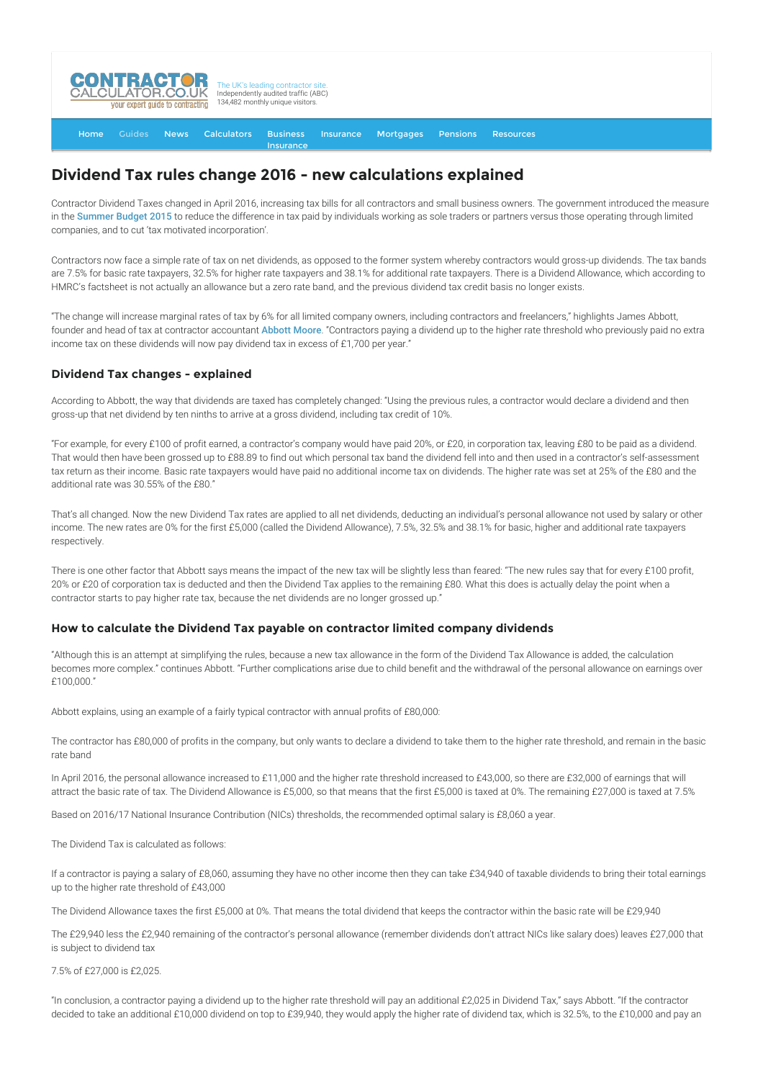

#### [Home](http://www.contractorcalculator.co.uk/) [Guides](http://www.contractorcalculator.co.uk/Articles.aspx) [News](http://www.contractorcalculator.co.uk/Contractor_News.aspx) [Calculators](http://www.contractorcalculator.co.uk/Calculators.aspx) Business Insurance **[Insurance](http://www.contractorcalculator.co.uk/Contractor_Insurances.aspx)** [Mortgages](http://www.contractorcalculator.co.uk/Contractor_Mortgages.aspx) [Pensions](http://www.contractorcalculator.co.uk/Contractor_Pensions.aspx) [Resources](http://www.contractorcalculator.co.uk/Contractor_Resources.aspx)

# **Dividend Tax rules change 2016 - new calculations explained**

Contractor Dividend Taxes changed in April 2016, increasing tax bills for all contractors and small business owners. The government introduced the measure in the [Summer Budget 2015](https://www.gov.uk/government/uploads/system/uploads/attachment_data/file/443232/50325_Summer_Budget_15_Web_Accessible.pdf) to reduce the difference in tax paid by individuals working as sole traders or partners versus those operating through limited companies, and to cut 'tax motivated incorporation'.

Contractors now face a simple rate of tax on net dividends, as opposed to the former system whereby contractors would gross-up dividends. The tax bands are 7.5% for basic rate taxpayers, 32.5% for higher rate taxpayers and 38.1% for additional rate taxpayers. There is a Dividend Allowance, which according to HMRC's factsheet is not actually an allowance but a zero rate band, and the previous dividend tax credit basis no longer exists.

"The change will increase marginal rates of tax by 6% for all limited company owners, including contractors and freelancers," highlights James Abbott, founder and head of tax at contractor accountant [Abbott Moore](http://www.contractorcalculator.co.uk/refer.aspx?site=www.contractorcalculator.co.uk&from=ARTICLE&frompk=DIVIDEND_TAX_RULES_CHANGE_CALCULATIONS_EXPLAINED&url=http://www.abbottmoore.co.uk/). "Contractors paying a dividend up to the higher rate threshold who previously paid no extra income tax on these dividends will now pay dividend tax in excess of £1,700 per year."

## **Dividend Tax changes - explained**

According to Abbott, the way that dividends are taxed has completely changed: "Using the previous rules, a contractor would declare a dividend and then gross-up that net dividend by ten ninths to arrive at a gross dividend, including tax credit of 10%.

"For example, for every £100 of profit earned, a contractor's company would have paid 20%, or £20, in corporation tax, leaving £80 to be paid as a dividend. That would then have been grossed up to £88.89 to find out which personal tax band the dividend fell into and then used in a contractor's self-assessment tax return as their income. Basic rate taxpayers would have paid no additional income tax on dividends. The higher rate was set at 25% of the £80 and the additional rate was 30.55% of the £80."

That's all changed. Now the new Dividend Tax rates are applied to all net dividends, deducting an individual's personal allowance not used by salary or other income. The new rates are 0% for the first £5,000 (called the Dividend Allowance), 7.5%, 32.5% and 38.1% for basic, higher and additional rate taxpayers respectively.

There is one other factor that Abbott says means the impact of the new tax will be slightly less than feared: "The new rules say that for every £100 profit, 20% or £20 of corporation tax is deducted and then the Dividend Tax applies to the remaining £80. What this does is actually delay the point when a contractor starts to pay higher rate tax, because the net dividends are no longer grossed up."

## **How to calculate the Dividend Tax payable on contractor limited company dividends**

"Although this is an attempt at simplifying the rules, because a new tax allowance in the form of the Dividend Tax Allowance is added, the calculation becomes more complex." continues Abbott. "Further complications arise due to child benefit and the withdrawal of the personal allowance on earnings over £100,000."

Abbott explains, using an example of a fairly typical contractor with annual profits of £80,000:

The contractor has £80,000 of profits in the company, but only wants to declare a dividend to take them to the higher rate threshold, and remain in the basic rate band

In April 2016, the personal allowance increased to £11,000 and the higher rate threshold increased to £43,000, so there are £32,000 of earnings that will attract the basic rate of tax. The Dividend Allowance is £5,000, so that means that the first £5,000 is taxed at 0%. The remaining £27,000 is taxed at 7.5%

Based on 2016/17 National Insurance Contribution (NICs) thresholds, the recommended optimal salary is £8,060 a year.

The Dividend Tax is calculated as follows:

If a contractor is paying a salary of £8,060, assuming they have no other income then they can take £34,940 of taxable dividends to bring their total earnings up to the higher rate threshold of £43,000

The Dividend Allowance taxes the first £5,000 at 0%. That means the total dividend that keeps the contractor within the basic rate will be £29,940

The £29,940 less the £2,940 remaining of the contractor's personal allowance (remember dividends don't attract NICs like salary does) leaves £27,000 that is subject to dividend tax

7.5% of £27,000 is £2,025.

"In conclusion, a contractor paying a dividend up to the higher rate threshold will pay an additional £2,025 in Dividend Tax," says Abbott. "If the contractor decided to take an additional £10,000 dividend on top to £39,940, they would apply the higher rate of dividend tax, which is 32.5%, to the £10,000 and pay an